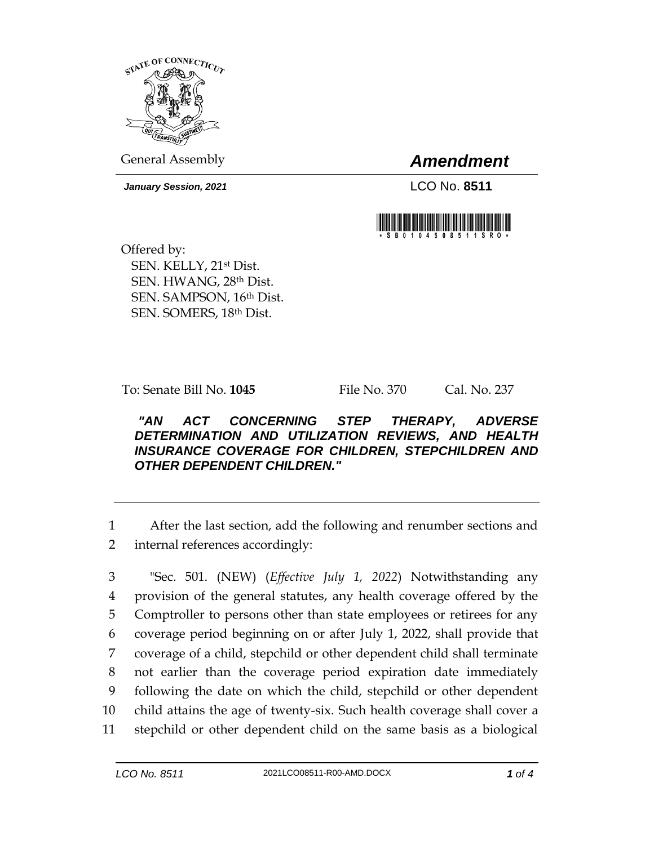

General Assembly *Amendment*

*January Session, 2021* LCO No. **8511**



Offered by: SEN. KELLY, 21st Dist. SEN. HWANG, 28th Dist. SEN. SAMPSON, 16th Dist. SEN. SOMERS, 18th Dist.

To: Senate Bill No. **1045** File No. 370 Cal. No. 237

## *"AN ACT CONCERNING STEP THERAPY, ADVERSE DETERMINATION AND UTILIZATION REVIEWS, AND HEALTH INSURANCE COVERAGE FOR CHILDREN, STEPCHILDREN AND OTHER DEPENDENT CHILDREN."*

1 After the last section, add the following and renumber sections and 2 internal references accordingly:

 "Sec. 501. (NEW) (*Effective July 1, 2022*) Notwithstanding any provision of the general statutes, any health coverage offered by the Comptroller to persons other than state employees or retirees for any coverage period beginning on or after July 1, 2022, shall provide that coverage of a child, stepchild or other dependent child shall terminate not earlier than the coverage period expiration date immediately following the date on which the child, stepchild or other dependent child attains the age of twenty-six. Such health coverage shall cover a stepchild or other dependent child on the same basis as a biological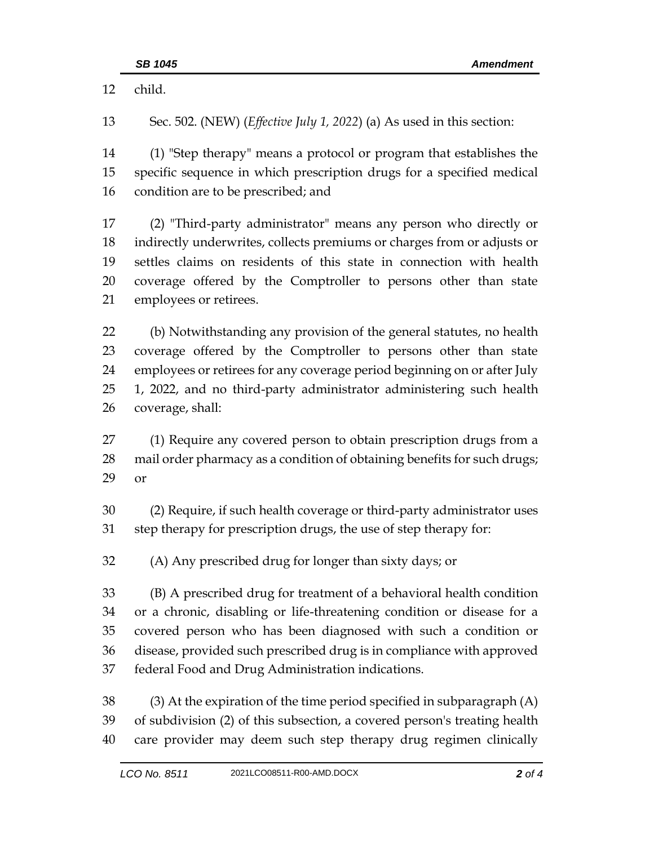child.

or

 Sec. 502. (NEW) (*Effective July 1, 2022*) (a) As used in this section: (1) "Step therapy" means a protocol or program that establishes the specific sequence in which prescription drugs for a specified medical condition are to be prescribed; and (2) "Third-party administrator" means any person who directly or indirectly underwrites, collects premiums or charges from or adjusts or settles claims on residents of this state in connection with health coverage offered by the Comptroller to persons other than state employees or retirees. (b) Notwithstanding any provision of the general statutes, no health coverage offered by the Comptroller to persons other than state employees or retirees for any coverage period beginning on or after July 1, 2022, and no third-party administrator administering such health coverage, shall: (1) Require any covered person to obtain prescription drugs from a mail order pharmacy as a condition of obtaining benefits for such drugs; (2) Require, if such health coverage or third-party administrator uses step therapy for prescription drugs, the use of step therapy for: (A) Any prescribed drug for longer than sixty days; or (B) A prescribed drug for treatment of a behavioral health condition or a chronic, disabling or life-threatening condition or disease for a covered person who has been diagnosed with such a condition or disease, provided such prescribed drug is in compliance with approved federal Food and Drug Administration indications. (3) At the expiration of the time period specified in subparagraph (A) of subdivision (2) of this subsection, a covered person's treating health care provider may deem such step therapy drug regimen clinically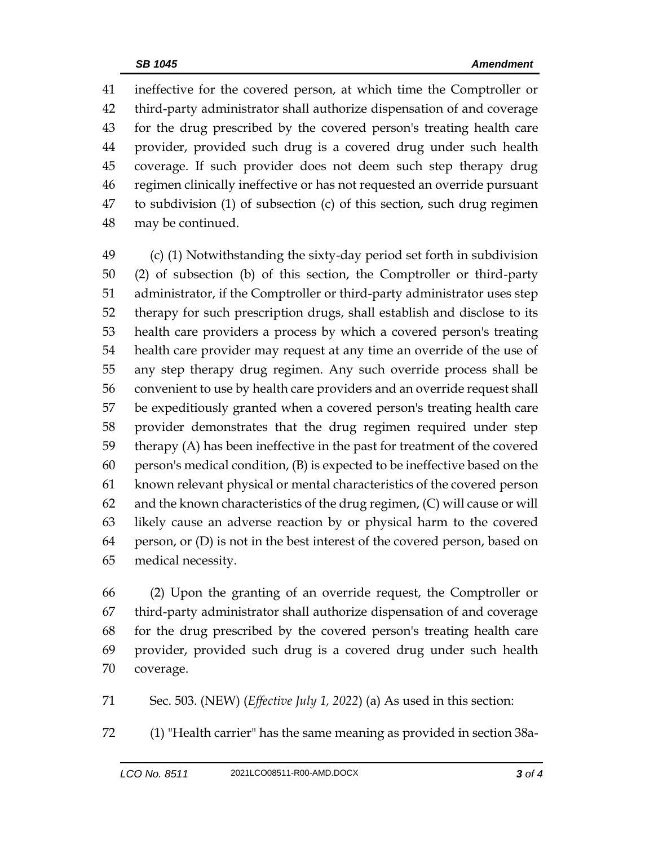ineffective for the covered person, at which time the Comptroller or third-party administrator shall authorize dispensation of and coverage for the drug prescribed by the covered person's treating health care provider, provided such drug is a covered drug under such health coverage. If such provider does not deem such step therapy drug regimen clinically ineffective or has not requested an override pursuant to subdivision (1) of subsection (c) of this section, such drug regimen may be continued.

 (c) (1) Notwithstanding the sixty-day period set forth in subdivision (2) of subsection (b) of this section, the Comptroller or third-party administrator, if the Comptroller or third-party administrator uses step therapy for such prescription drugs, shall establish and disclose to its health care providers a process by which a covered person's treating health care provider may request at any time an override of the use of any step therapy drug regimen. Any such override process shall be convenient to use by health care providers and an override request shall be expeditiously granted when a covered person's treating health care provider demonstrates that the drug regimen required under step therapy (A) has been ineffective in the past for treatment of the covered person's medical condition, (B) is expected to be ineffective based on the known relevant physical or mental characteristics of the covered person and the known characteristics of the drug regimen, (C) will cause or will likely cause an adverse reaction by or physical harm to the covered person, or (D) is not in the best interest of the covered person, based on medical necessity.

 (2) Upon the granting of an override request, the Comptroller or third-party administrator shall authorize dispensation of and coverage for the drug prescribed by the covered person's treating health care provider, provided such drug is a covered drug under such health coverage.

Sec. 503. (NEW) (*Effective July 1, 2022*) (a) As used in this section:

(1) "Health carrier" has the same meaning as provided in section 38a-